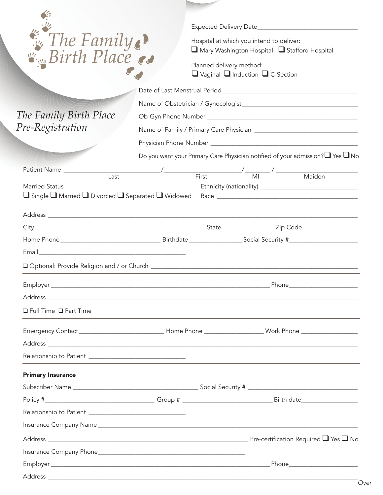| E The Family?<br>The Family Birth Place       |                                                                                   | Hospital at which you intend to deliver:<br>Mary Washington Hospital Stafford Hospital<br>Planned delivery method:<br>$\Box$ Vaginal $\Box$ Induction $\Box$ C-Section |  |  |
|-----------------------------------------------|-----------------------------------------------------------------------------------|------------------------------------------------------------------------------------------------------------------------------------------------------------------------|--|--|
| Pre-Registration                              |                                                                                   |                                                                                                                                                                        |  |  |
|                                               |                                                                                   |                                                                                                                                                                        |  |  |
|                                               | Do you want your Primary Care Physician notified of your admission?∟Yes <u>No</u> |                                                                                                                                                                        |  |  |
| Patient Name<br>Last<br><b>Married Status</b> |                                                                                   |                                                                                                                                                                        |  |  |
|                                               |                                                                                   |                                                                                                                                                                        |  |  |
|                                               |                                                                                   |                                                                                                                                                                        |  |  |
|                                               |                                                                                   |                                                                                                                                                                        |  |  |
|                                               |                                                                                   |                                                                                                                                                                        |  |  |
|                                               |                                                                                   |                                                                                                                                                                        |  |  |
| Employer_                                     |                                                                                   | Phone                                                                                                                                                                  |  |  |
|                                               |                                                                                   |                                                                                                                                                                        |  |  |
| □ Full Time □ Part Time                       |                                                                                   |                                                                                                                                                                        |  |  |
|                                               |                                                                                   | Emergency Contact _________________________________Home Phone ___________________Work Phone __________________                                                         |  |  |
|                                               |                                                                                   |                                                                                                                                                                        |  |  |
|                                               |                                                                                   |                                                                                                                                                                        |  |  |
| <b>Primary Insurance</b>                      |                                                                                   |                                                                                                                                                                        |  |  |
|                                               |                                                                                   |                                                                                                                                                                        |  |  |
|                                               |                                                                                   |                                                                                                                                                                        |  |  |
|                                               |                                                                                   |                                                                                                                                                                        |  |  |
|                                               |                                                                                   |                                                                                                                                                                        |  |  |
|                                               |                                                                                   |                                                                                                                                                                        |  |  |
|                                               |                                                                                   |                                                                                                                                                                        |  |  |
|                                               |                                                                                   |                                                                                                                                                                        |  |  |
|                                               |                                                                                   |                                                                                                                                                                        |  |  |